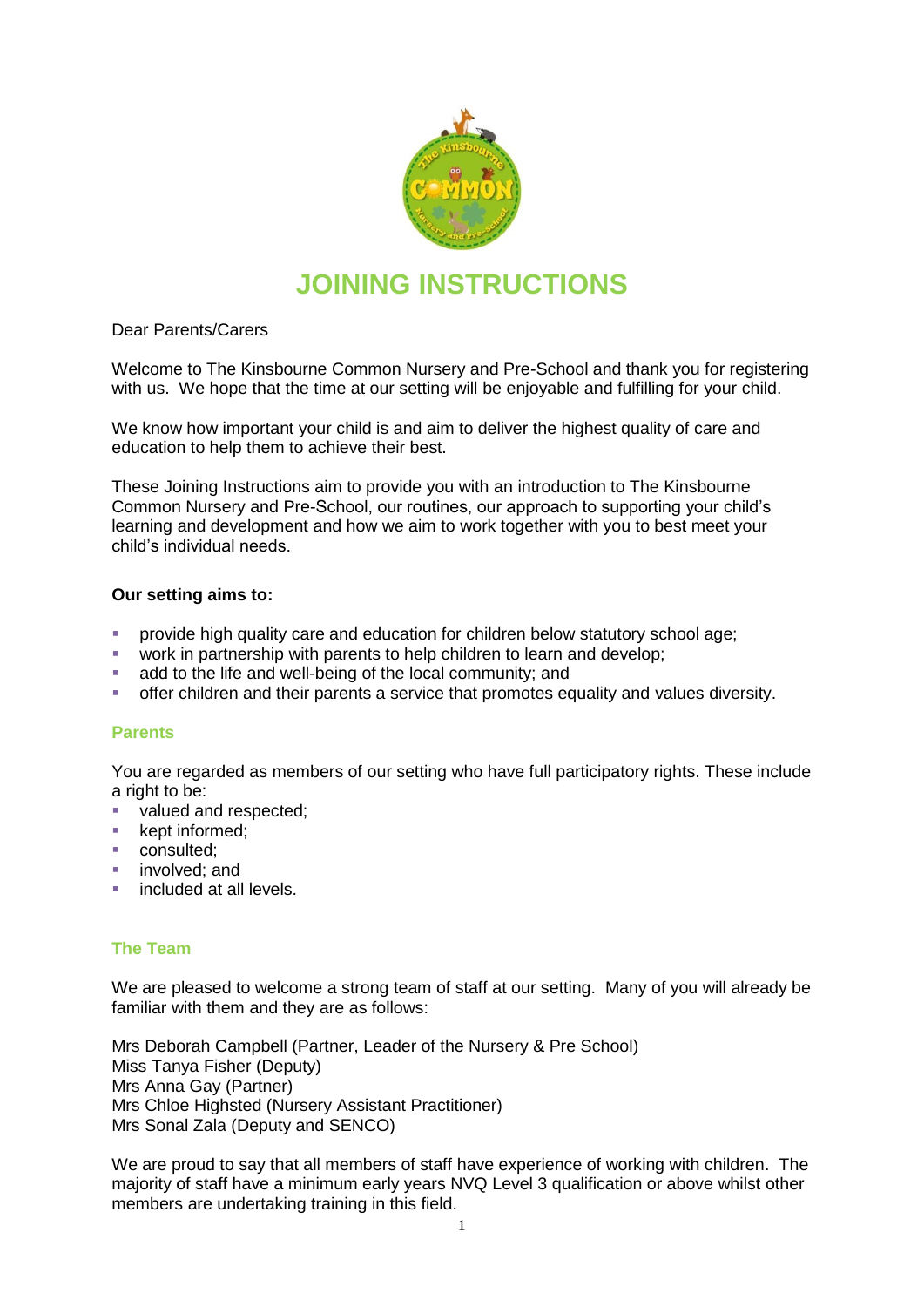

# **JOINING INSTRUCTIONS**

Dear Parents/Carers

Welcome to The Kinsbourne Common Nursery and Pre-School and thank you for registering with us. We hope that the time at our setting will be enjoyable and fulfilling for your child.

We know how important your child is and aim to deliver the highest quality of care and education to help them to achieve their best.

These Joining Instructions aim to provide you with an introduction to The Kinsbourne Common Nursery and Pre-School, our routines, our approach to supporting your child's learning and development and how we aim to work together with you to best meet your child's individual needs.

# **Our setting aims to:**

- **•** provide high quality care and education for children below statutory school age;
- work in partnership with parents to help children to learn and develop;
- add to the life and well-being of the local community; and
- offer children and their parents a service that promotes equality and values diversity.

# **Parents**

You are regarded as members of our setting who have full participatory rights. These include a right to be:

- valued and respected;
- **kept informed;**
- consulted:
- **n** involved; and
- **included at all levels.**

#### **The Team**

We are pleased to welcome a strong team of staff at our setting. Many of you will already be familiar with them and they are as follows:

Mrs Deborah Campbell (Partner, Leader of the Nursery & Pre School) Miss Tanya Fisher (Deputy) Mrs Anna Gay (Partner) Mrs Chloe Highsted (Nursery Assistant Practitioner) Mrs Sonal Zala (Deputy and SENCO)

We are proud to say that all members of staff have experience of working with children. The majority of staff have a minimum early years NVQ Level 3 qualification or above whilst other members are undertaking training in this field.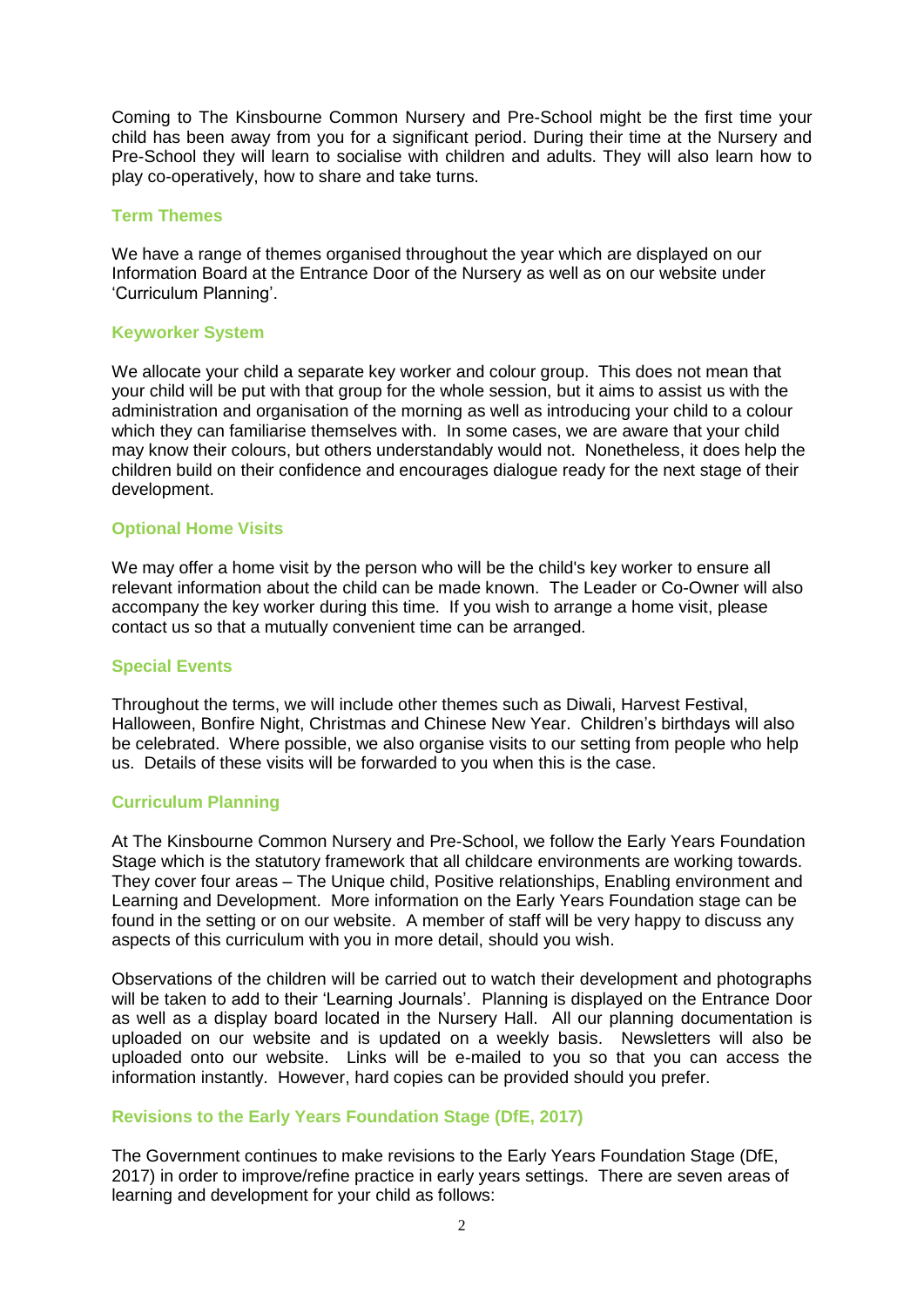Coming to The Kinsbourne Common Nursery and Pre-School might be the first time your child has been away from you for a significant period. During their time at the Nursery and Pre-School they will learn to socialise with children and adults. They will also learn how to play co-operatively, how to share and take turns.

#### **Term Themes**

We have a range of themes organised throughout the year which are displayed on our Information Board at the Entrance Door of the Nursery as well as on our website under 'Curriculum Planning'.

# **Keyworker System**

We allocate your child a separate key worker and colour group. This does not mean that your child will be put with that group for the whole session, but it aims to assist us with the administration and organisation of the morning as well as introducing your child to a colour which they can familiarise themselves with. In some cases, we are aware that your child may know their colours, but others understandably would not. Nonetheless, it does help the children build on their confidence and encourages dialogue ready for the next stage of their development.

# **Optional Home Visits**

We may offer a home visit by the person who will be the child's key worker to ensure all relevant information about the child can be made known. The Leader or Co-Owner will also accompany the key worker during this time. If you wish to arrange a home visit, please contact us so that a mutually convenient time can be arranged.

#### **Special Events**

Throughout the terms, we will include other themes such as Diwali, Harvest Festival, Halloween, Bonfire Night, Christmas and Chinese New Year. Children's birthdays will also be celebrated. Where possible, we also organise visits to our setting from people who help us. Details of these visits will be forwarded to you when this is the case.

# **Curriculum Planning**

At The Kinsbourne Common Nursery and Pre-School, we follow the Early Years Foundation Stage which is the statutory framework that all childcare environments are working towards. They cover four areas – The Unique child, Positive relationships, Enabling environment and Learning and Development. More information on the Early Years Foundation stage can be found in the setting or on our website. A member of staff will be very happy to discuss any aspects of this curriculum with you in more detail, should you wish.

Observations of the children will be carried out to watch their development and photographs will be taken to add to their 'Learning Journals'. Planning is displayed on the Entrance Door as well as a display board located in the Nursery Hall. All our planning documentation is uploaded on our website and is updated on a weekly basis. Newsletters will also be uploaded onto our website. Links will be e-mailed to you so that you can access the information instantly. However, hard copies can be provided should you prefer.

# **Revisions to the Early Years Foundation Stage (DfE, 2017)**

The Government continues to make revisions to the Early Years Foundation Stage (DfE, 2017) in order to improve/refine practice in early years settings. There are seven areas of learning and development for your child as follows: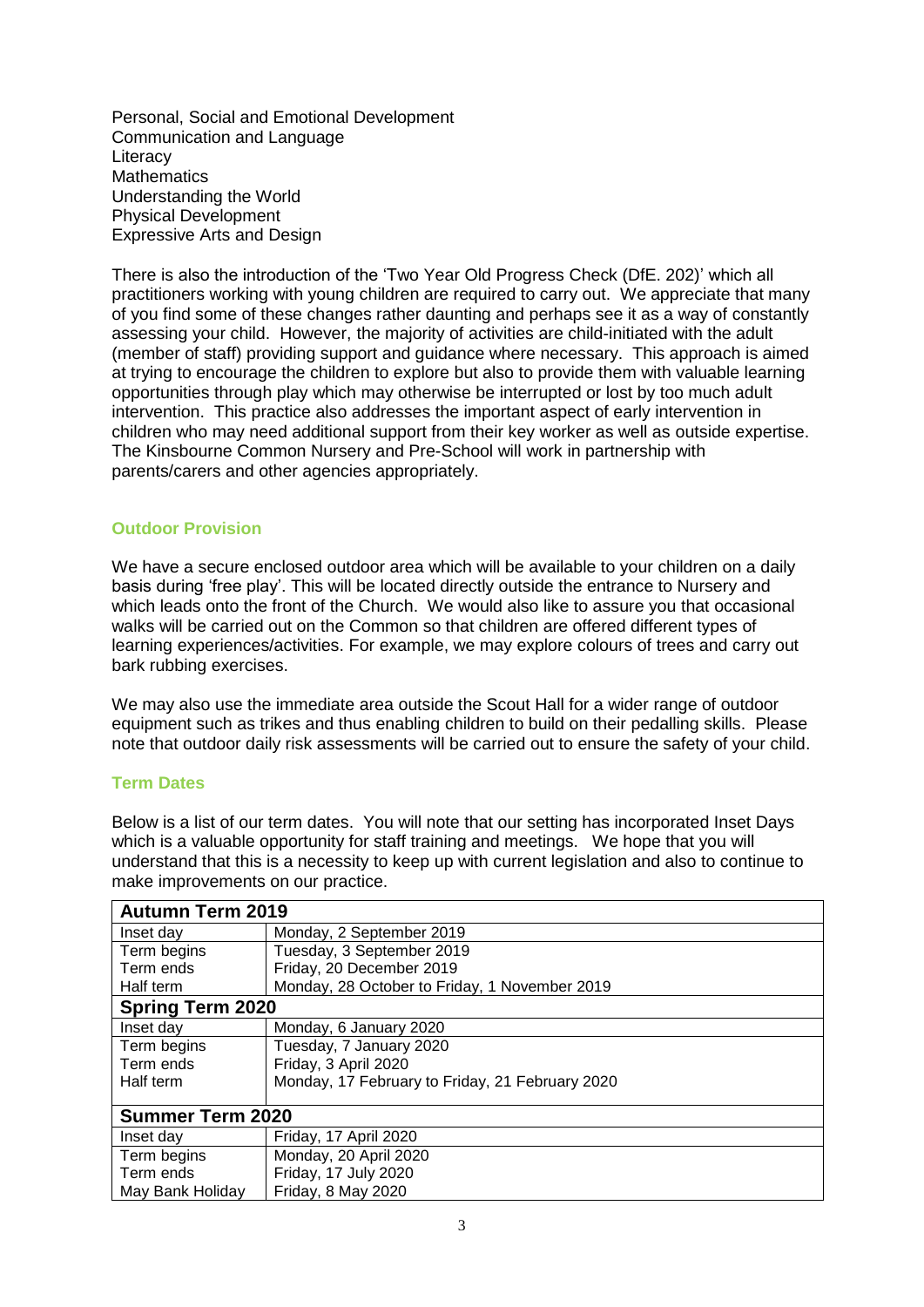Personal, Social and Emotional Development Communication and Language **Literacy Mathematics** Understanding the World Physical Development Expressive Arts and Design

There is also the introduction of the 'Two Year Old Progress Check (DfE. 202)' which all practitioners working with young children are required to carry out. We appreciate that many of you find some of these changes rather daunting and perhaps see it as a way of constantly assessing your child. However, the majority of activities are child-initiated with the adult (member of staff) providing support and guidance where necessary. This approach is aimed at trying to encourage the children to explore but also to provide them with valuable learning opportunities through play which may otherwise be interrupted or lost by too much adult intervention. This practice also addresses the important aspect of early intervention in children who may need additional support from their key worker as well as outside expertise. The Kinsbourne Common Nursery and Pre-School will work in partnership with parents/carers and other agencies appropriately.

# **Outdoor Provision**

We have a secure enclosed outdoor area which will be available to your children on a daily basis during 'free play'. This will be located directly outside the entrance to Nursery and which leads onto the front of the Church. We would also like to assure you that occasional walks will be carried out on the Common so that children are offered different types of learning experiences/activities. For example, we may explore colours of trees and carry out bark rubbing exercises.

We may also use the immediate area outside the Scout Hall for a wider range of outdoor equipment such as trikes and thus enabling children to build on their pedalling skills. Please note that outdoor daily risk assessments will be carried out to ensure the safety of your child.

# **Term Dates**

Below is a list of our term dates. You will note that our setting has incorporated Inset Days which is a valuable opportunity for staff training and meetings. We hope that you will understand that this is a necessity to keep up with current legislation and also to continue to make improvements on our practice.

| <b>Autumn Term 2019</b> |                                                 |
|-------------------------|-------------------------------------------------|
| Inset day               | Monday, 2 September 2019                        |
| Term begins             | Tuesday, 3 September 2019                       |
| Term ends               | Friday, 20 December 2019                        |
| Half term               | Monday, 28 October to Friday, 1 November 2019   |
| <b>Spring Term 2020</b> |                                                 |
| Inset day               | Monday, 6 January 2020                          |
| Term begins             | Tuesday, 7 January 2020                         |
| Term ends               | Friday, 3 April 2020                            |
| Half term               | Monday, 17 February to Friday, 21 February 2020 |
|                         |                                                 |
| <b>Summer Term 2020</b> |                                                 |
| Inset day               | Friday, 17 April 2020                           |
| Term begins             | Monday, 20 April 2020                           |
| Term ends               | Friday, 17 July 2020                            |
| May Bank Holiday        | Friday, 8 May 2020                              |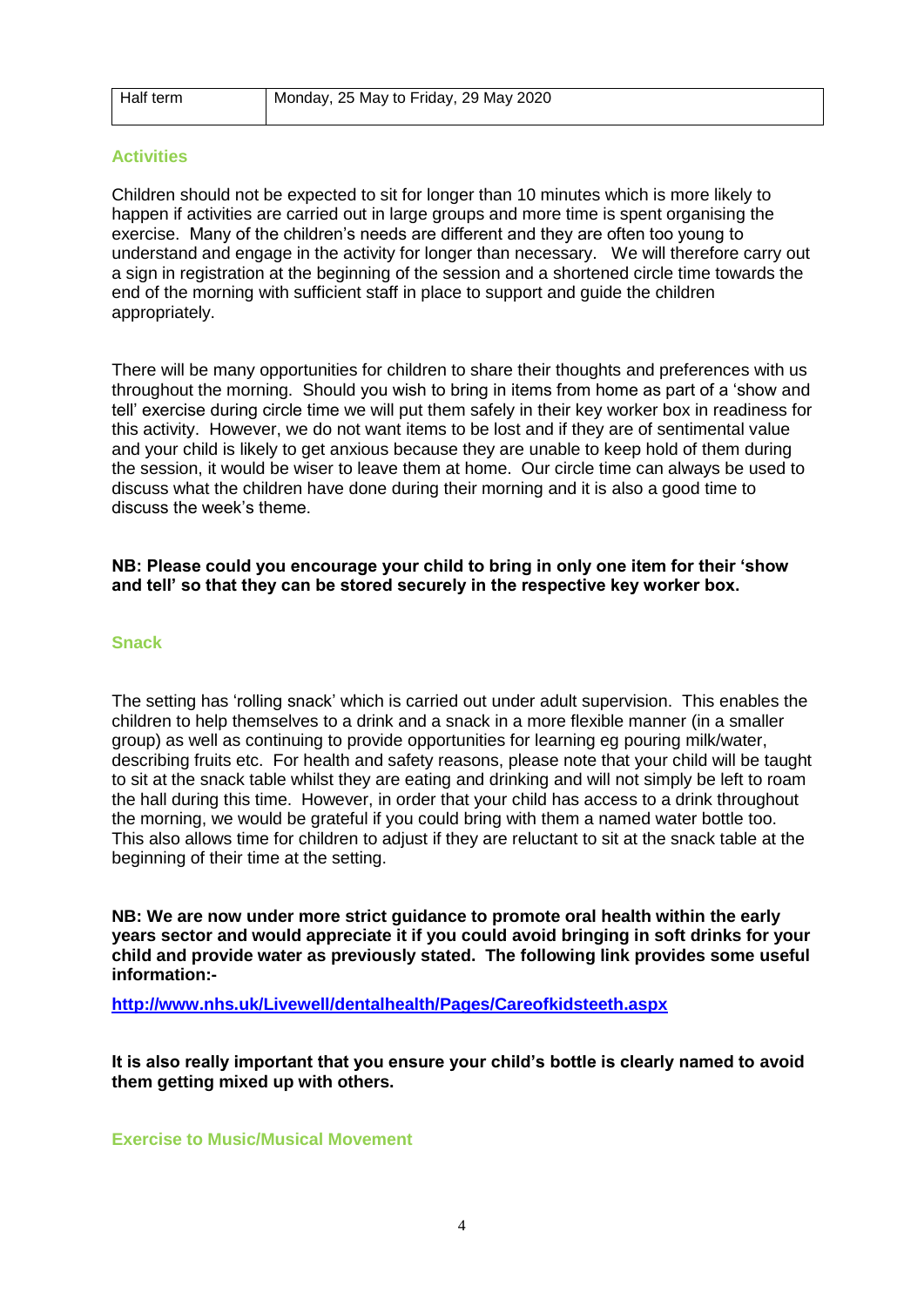| Half term | Monday, 25 May to Friday, 29 May 2020 |
|-----------|---------------------------------------|
|           |                                       |

#### **Activities**

Children should not be expected to sit for longer than 10 minutes which is more likely to happen if activities are carried out in large groups and more time is spent organising the exercise. Many of the children's needs are different and they are often too young to understand and engage in the activity for longer than necessary. We will therefore carry out a sign in registration at the beginning of the session and a shortened circle time towards the end of the morning with sufficient staff in place to support and guide the children appropriately.

There will be many opportunities for children to share their thoughts and preferences with us throughout the morning. Should you wish to bring in items from home as part of a 'show and tell' exercise during circle time we will put them safely in their key worker box in readiness for this activity. However, we do not want items to be lost and if they are of sentimental value and your child is likely to get anxious because they are unable to keep hold of them during the session, it would be wiser to leave them at home. Our circle time can always be used to discuss what the children have done during their morning and it is also a good time to discuss the week's theme.

# **NB: Please could you encourage your child to bring in only one item for their 'show and tell' so that they can be stored securely in the respective key worker box.**

# **Snack**

The setting has 'rolling snack' which is carried out under adult supervision. This enables the children to help themselves to a drink and a snack in a more flexible manner (in a smaller group) as well as continuing to provide opportunities for learning eg pouring milk/water, describing fruits etc. For health and safety reasons, please note that your child will be taught to sit at the snack table whilst they are eating and drinking and will not simply be left to roam the hall during this time. However, in order that your child has access to a drink throughout the morning, we would be grateful if you could bring with them a named water bottle too. This also allows time for children to adjust if they are reluctant to sit at the snack table at the beginning of their time at the setting.

**NB: We are now under more strict guidance to promote oral health within the early years sector and would appreciate it if you could avoid bringing in soft drinks for your child and provide water as previously stated. The following link provides some useful information:-**

**<http://www.nhs.uk/Livewell/dentalhealth/Pages/Careofkidsteeth.aspx>**

**It is also really important that you ensure your child's bottle is clearly named to avoid them getting mixed up with others.** 

**Exercise to Music/Musical Movement**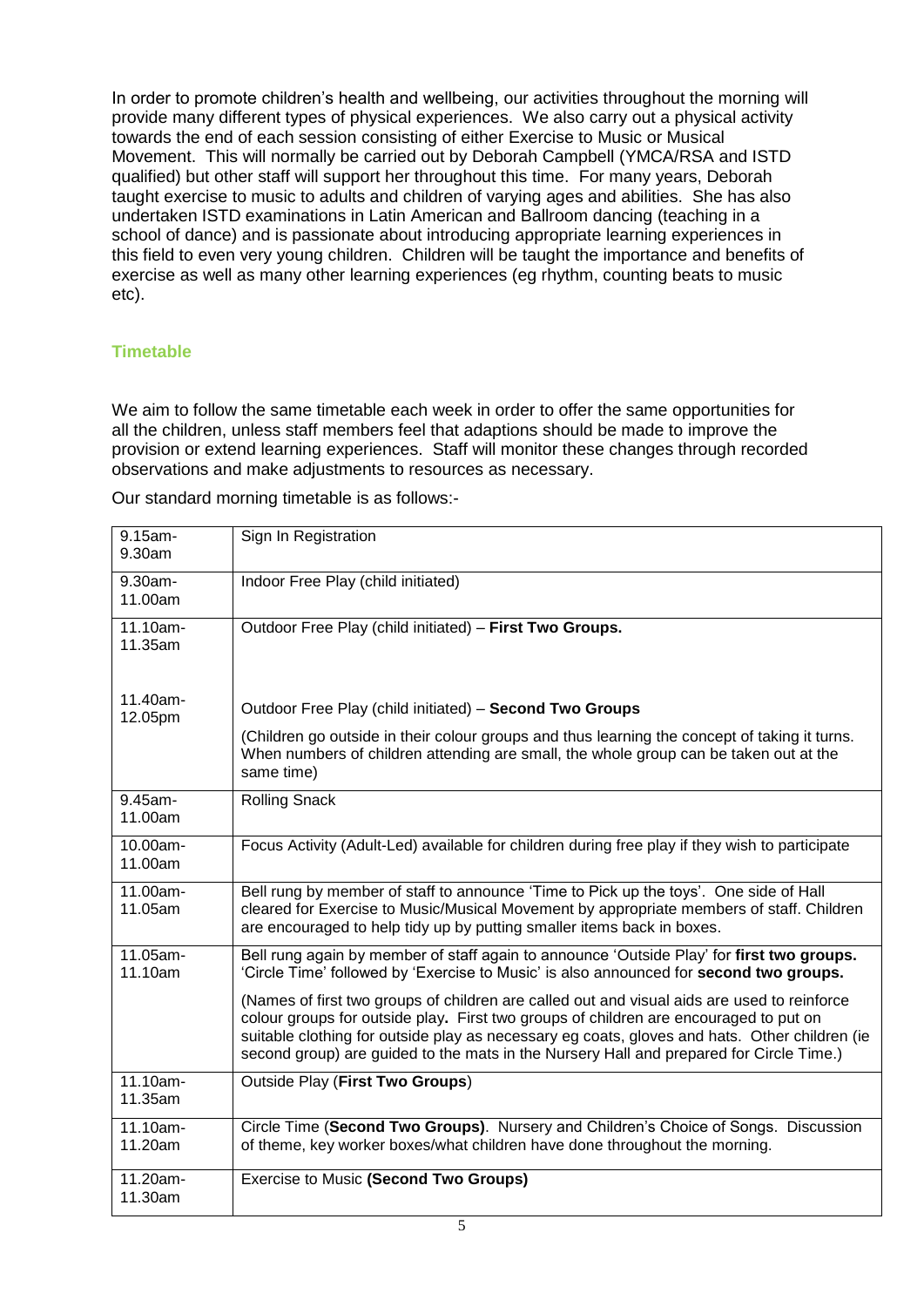In order to promote children's health and wellbeing, our activities throughout the morning will provide many different types of physical experiences. We also carry out a physical activity towards the end of each session consisting of either Exercise to Music or Musical Movement. This will normally be carried out by Deborah Campbell (YMCA/RSA and ISTD qualified) but other staff will support her throughout this time. For many years, Deborah taught exercise to music to adults and children of varying ages and abilities. She has also undertaken ISTD examinations in Latin American and Ballroom dancing (teaching in a school of dance) and is passionate about introducing appropriate learning experiences in this field to even very young children. Children will be taught the importance and benefits of exercise as well as many other learning experiences (eg rhythm, counting beats to music etc).

# **Timetable**

We aim to follow the same timetable each week in order to offer the same opportunities for all the children, unless staff members feel that adaptions should be made to improve the provision or extend learning experiences. Staff will monitor these changes through recorded observations and make adjustments to resources as necessary.

Our standard morning timetable is as follows:-

| 9.15am-<br>9.30am      | Sign In Registration                                                                                                                                                                                                                                                                                                                                                             |
|------------------------|----------------------------------------------------------------------------------------------------------------------------------------------------------------------------------------------------------------------------------------------------------------------------------------------------------------------------------------------------------------------------------|
| 9.30am-<br>11.00am     | Indoor Free Play (child initiated)                                                                                                                                                                                                                                                                                                                                               |
| 11.10am-<br>11.35am    | Outdoor Free Play (child initiated) - First Two Groups.                                                                                                                                                                                                                                                                                                                          |
| 11.40am-<br>12.05pm    | Outdoor Free Play (child initiated) - Second Two Groups                                                                                                                                                                                                                                                                                                                          |
|                        | (Children go outside in their colour groups and thus learning the concept of taking it turns.<br>When numbers of children attending are small, the whole group can be taken out at the<br>same time)                                                                                                                                                                             |
| 9.45am-<br>11.00am     | <b>Rolling Snack</b>                                                                                                                                                                                                                                                                                                                                                             |
| 10.00am-<br>11.00am    | Focus Activity (Adult-Led) available for children during free play if they wish to participate                                                                                                                                                                                                                                                                                   |
| 11.00am-<br>11.05am    | Bell rung by member of staff to announce 'Time to Pick up the toys'. One side of Hall<br>cleared for Exercise to Music/Musical Movement by appropriate members of staff. Children<br>are encouraged to help tidy up by putting smaller items back in boxes.                                                                                                                      |
| 11.05am-<br>11.10am    | Bell rung again by member of staff again to announce 'Outside Play' for first two groups.<br>'Circle Time' followed by 'Exercise to Music' is also announced for second two groups.                                                                                                                                                                                              |
|                        | (Names of first two groups of children are called out and visual aids are used to reinforce<br>colour groups for outside play. First two groups of children are encouraged to put on<br>suitable clothing for outside play as necessary eg coats, gloves and hats. Other children (ie<br>second group) are guided to the mats in the Nursery Hall and prepared for Circle Time.) |
| 11.10am-<br>11.35am    | Outside Play (First Two Groups)                                                                                                                                                                                                                                                                                                                                                  |
| $11.10am -$<br>11.20am | Circle Time (Second Two Groups). Nursery and Children's Choice of Songs. Discussion<br>of theme, key worker boxes/what children have done throughout the morning.                                                                                                                                                                                                                |
| 11.20am-<br>11.30am    | <b>Exercise to Music (Second Two Groups)</b>                                                                                                                                                                                                                                                                                                                                     |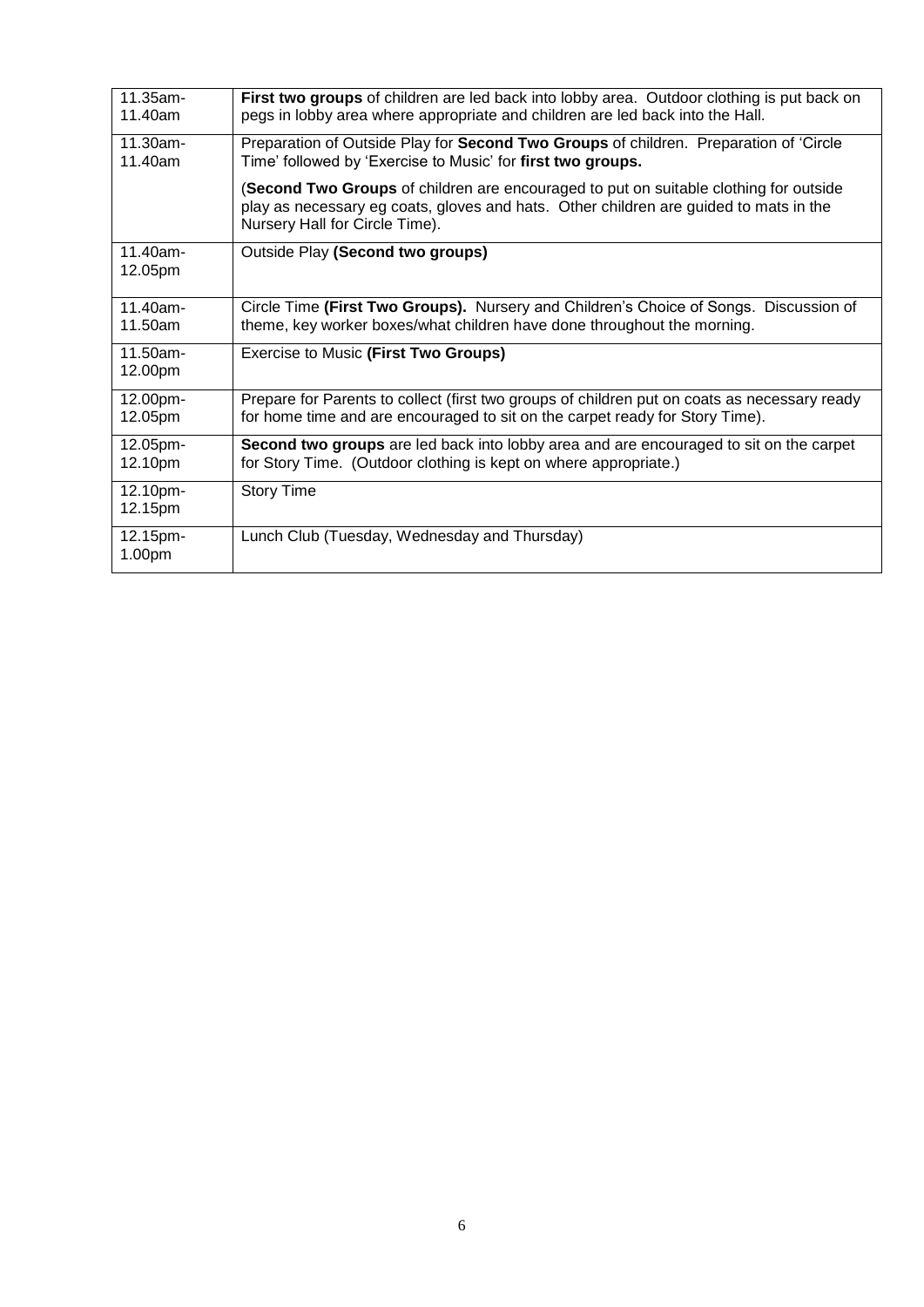| 11.35am-<br>11.40am    | First two groups of children are led back into lobby area. Outdoor clothing is put back on<br>pegs in lobby area where appropriate and children are led back into the Hall.                                      |
|------------------------|------------------------------------------------------------------------------------------------------------------------------------------------------------------------------------------------------------------|
| $11.30am -$<br>11.40am | Preparation of Outside Play for Second Two Groups of children. Preparation of 'Circle<br>Time' followed by 'Exercise to Music' for first two groups.                                                             |
|                        | (Second Two Groups of children are encouraged to put on suitable clothing for outside<br>play as necessary eg coats, gloves and hats. Other children are guided to mats in the<br>Nursery Hall for Circle Time). |
| $11.40$ am-<br>12.05pm | Outside Play (Second two groups)                                                                                                                                                                                 |
| $11.40$ am-<br>11.50am | Circle Time (First Two Groups). Nursery and Children's Choice of Songs. Discussion of<br>theme, key worker boxes/what children have done throughout the morning.                                                 |
| 11.50am-<br>12.00pm    | Exercise to Music (First Two Groups)                                                                                                                                                                             |
| 12.00pm-<br>12.05pm    | Prepare for Parents to collect (first two groups of children put on coats as necessary ready<br>for home time and are encouraged to sit on the carpet ready for Story Time).                                     |
| 12.05pm-<br>12.10pm    | Second two groups are led back into lobby area and are encouraged to sit on the carpet<br>for Story Time. (Outdoor clothing is kept on where appropriate.)                                                       |
| 12.10pm-<br>12.15pm    | <b>Story Time</b>                                                                                                                                                                                                |
| 12.15pm-<br>1.00pm     | Lunch Club (Tuesday, Wednesday and Thursday)                                                                                                                                                                     |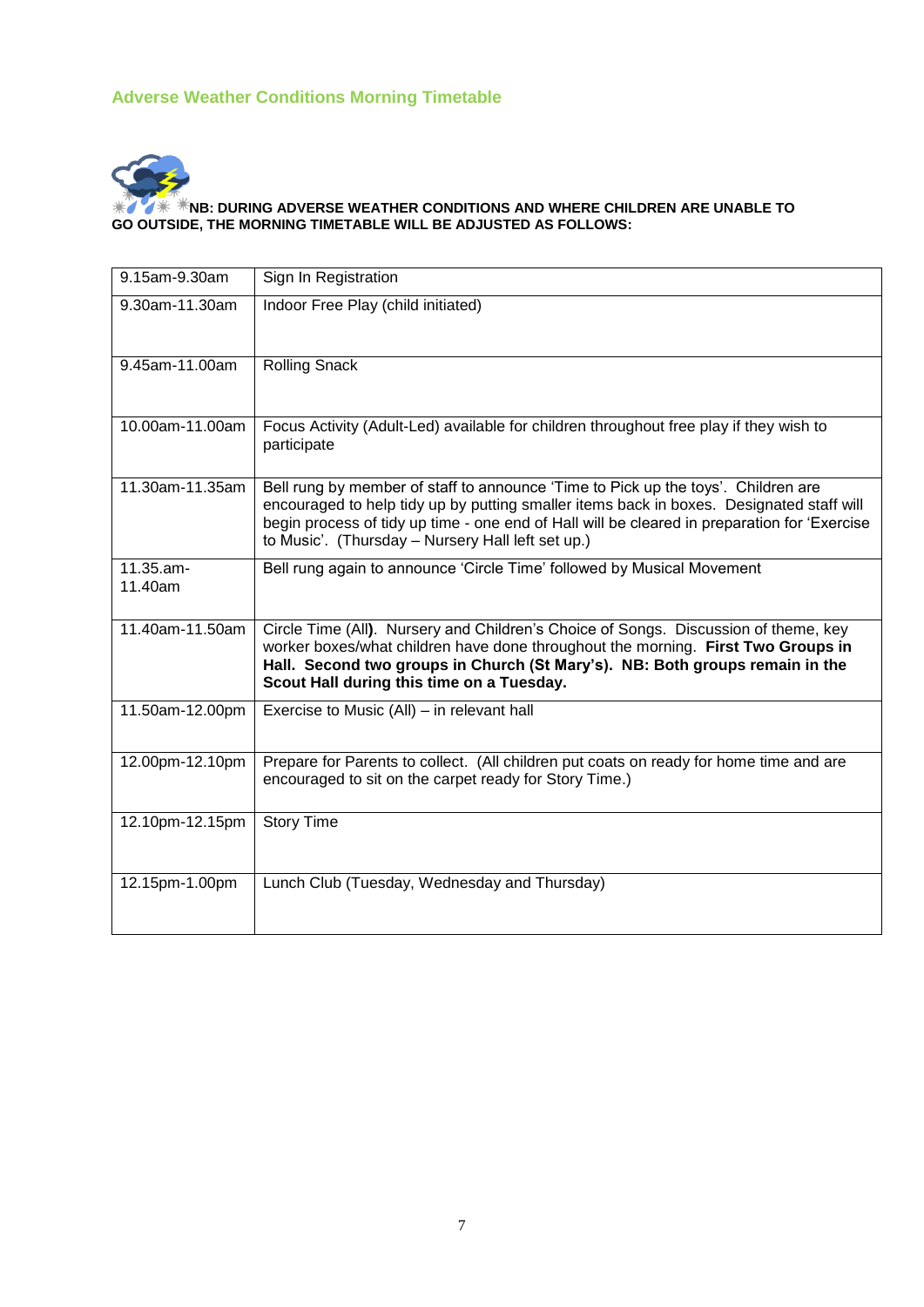# **Adverse Weather Conditions Morning Timetable**



#### **NB: DURING ADVERSE WEATHER CONDITIONS AND WHERE CHILDREN ARE UNABLE TO GO OUTSIDE, THE MORNING TIMETABLE WILL BE ADJUSTED AS FOLLOWS:**

| 9.15am-9.30am           | Sign In Registration                                                                                                                                                                                                                                                                                                               |
|-------------------------|------------------------------------------------------------------------------------------------------------------------------------------------------------------------------------------------------------------------------------------------------------------------------------------------------------------------------------|
| 9.30am-11.30am          | Indoor Free Play (child initiated)                                                                                                                                                                                                                                                                                                 |
| 9.45am-11.00am          | <b>Rolling Snack</b>                                                                                                                                                                                                                                                                                                               |
| 10.00am-11.00am         | Focus Activity (Adult-Led) available for children throughout free play if they wish to<br>participate                                                                                                                                                                                                                              |
| 11.30am-11.35am         | Bell rung by member of staff to announce 'Time to Pick up the toys'. Children are<br>encouraged to help tidy up by putting smaller items back in boxes. Designated staff will<br>begin process of tidy up time - one end of Hall will be cleared in preparation for 'Exercise<br>to Music'. (Thursday - Nursery Hall left set up.) |
| $11.35.am -$<br>11.40am | Bell rung again to announce 'Circle Time' followed by Musical Movement                                                                                                                                                                                                                                                             |
| 11.40am-11.50am         | Circle Time (All). Nursery and Children's Choice of Songs. Discussion of theme, key<br>worker boxes/what children have done throughout the morning. First Two Groups in<br>Hall. Second two groups in Church (St Mary's). NB: Both groups remain in the<br>Scout Hall during this time on a Tuesday.                               |
| 11.50am-12.00pm         | Exercise to Music (All) – in relevant hall                                                                                                                                                                                                                                                                                         |
| 12.00pm-12.10pm         | Prepare for Parents to collect. (All children put coats on ready for home time and are<br>encouraged to sit on the carpet ready for Story Time.)                                                                                                                                                                                   |
| 12.10pm-12.15pm         | <b>Story Time</b>                                                                                                                                                                                                                                                                                                                  |
| 12.15pm-1.00pm          | Lunch Club (Tuesday, Wednesday and Thursday)                                                                                                                                                                                                                                                                                       |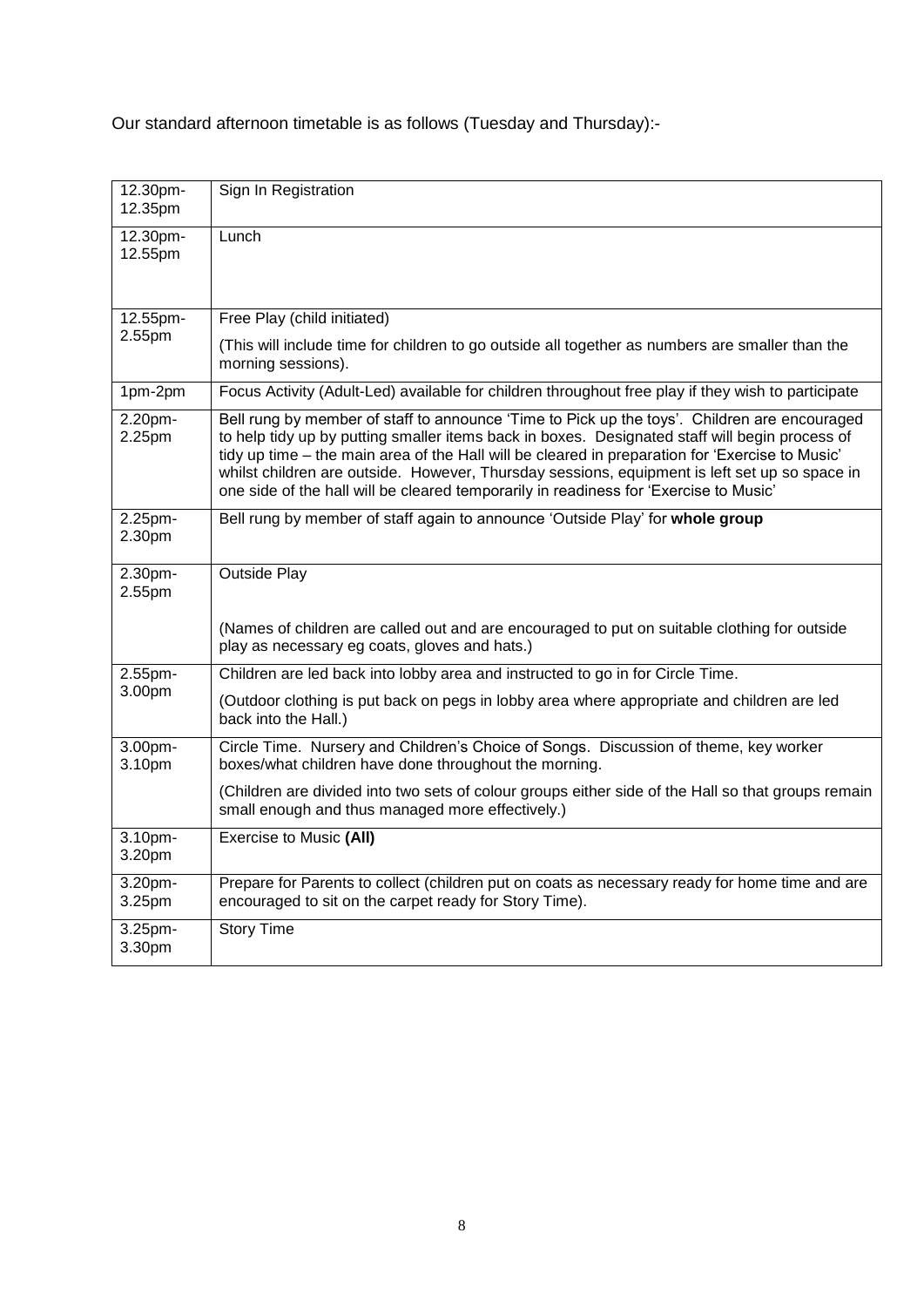Our standard afternoon timetable is as follows (Tuesday and Thursday):-

| 12.30pm-<br>12.35pm | Sign In Registration                                                                                                                                                                                                                                                                                                                                                                                                                                                                        |
|---------------------|---------------------------------------------------------------------------------------------------------------------------------------------------------------------------------------------------------------------------------------------------------------------------------------------------------------------------------------------------------------------------------------------------------------------------------------------------------------------------------------------|
| 12.30pm-<br>12.55pm | Lunch                                                                                                                                                                                                                                                                                                                                                                                                                                                                                       |
| 12.55pm-            | Free Play (child initiated)                                                                                                                                                                                                                                                                                                                                                                                                                                                                 |
| 2.55pm              | (This will include time for children to go outside all together as numbers are smaller than the<br>morning sessions).                                                                                                                                                                                                                                                                                                                                                                       |
| 1pm-2pm             | Focus Activity (Adult-Led) available for children throughout free play if they wish to participate                                                                                                                                                                                                                                                                                                                                                                                          |
| 2.20pm-<br>2.25pm   | Bell rung by member of staff to announce 'Time to Pick up the toys'. Children are encouraged<br>to help tidy up by putting smaller items back in boxes. Designated staff will begin process of<br>tidy up time - the main area of the Hall will be cleared in preparation for 'Exercise to Music'<br>whilst children are outside. However, Thursday sessions, equipment is left set up so space in<br>one side of the hall will be cleared temporarily in readiness for 'Exercise to Music' |
| 2.25pm-<br>2.30pm   | Bell rung by member of staff again to announce 'Outside Play' for whole group                                                                                                                                                                                                                                                                                                                                                                                                               |
| 2.30pm-<br>2.55pm   | <b>Outside Play</b>                                                                                                                                                                                                                                                                                                                                                                                                                                                                         |
|                     | (Names of children are called out and are encouraged to put on suitable clothing for outside<br>play as necessary eg coats, gloves and hats.)                                                                                                                                                                                                                                                                                                                                               |
| 2.55pm-             | Children are led back into lobby area and instructed to go in for Circle Time.                                                                                                                                                                                                                                                                                                                                                                                                              |
| 3.00pm              | (Outdoor clothing is put back on pegs in lobby area where appropriate and children are led<br>back into the Hall.)                                                                                                                                                                                                                                                                                                                                                                          |
| 3.00pm-<br>3.10pm   | Circle Time. Nursery and Children's Choice of Songs. Discussion of theme, key worker<br>boxes/what children have done throughout the morning.                                                                                                                                                                                                                                                                                                                                               |
|                     | (Children are divided into two sets of colour groups either side of the Hall so that groups remain<br>small enough and thus managed more effectively.)                                                                                                                                                                                                                                                                                                                                      |
| 3.10pm-<br>3.20pm   | Exercise to Music (All)                                                                                                                                                                                                                                                                                                                                                                                                                                                                     |
| 3.20pm-<br>3.25pm   | Prepare for Parents to collect (children put on coats as necessary ready for home time and are<br>encouraged to sit on the carpet ready for Story Time).                                                                                                                                                                                                                                                                                                                                    |
| 3.25pm-<br>3.30pm   | <b>Story Time</b>                                                                                                                                                                                                                                                                                                                                                                                                                                                                           |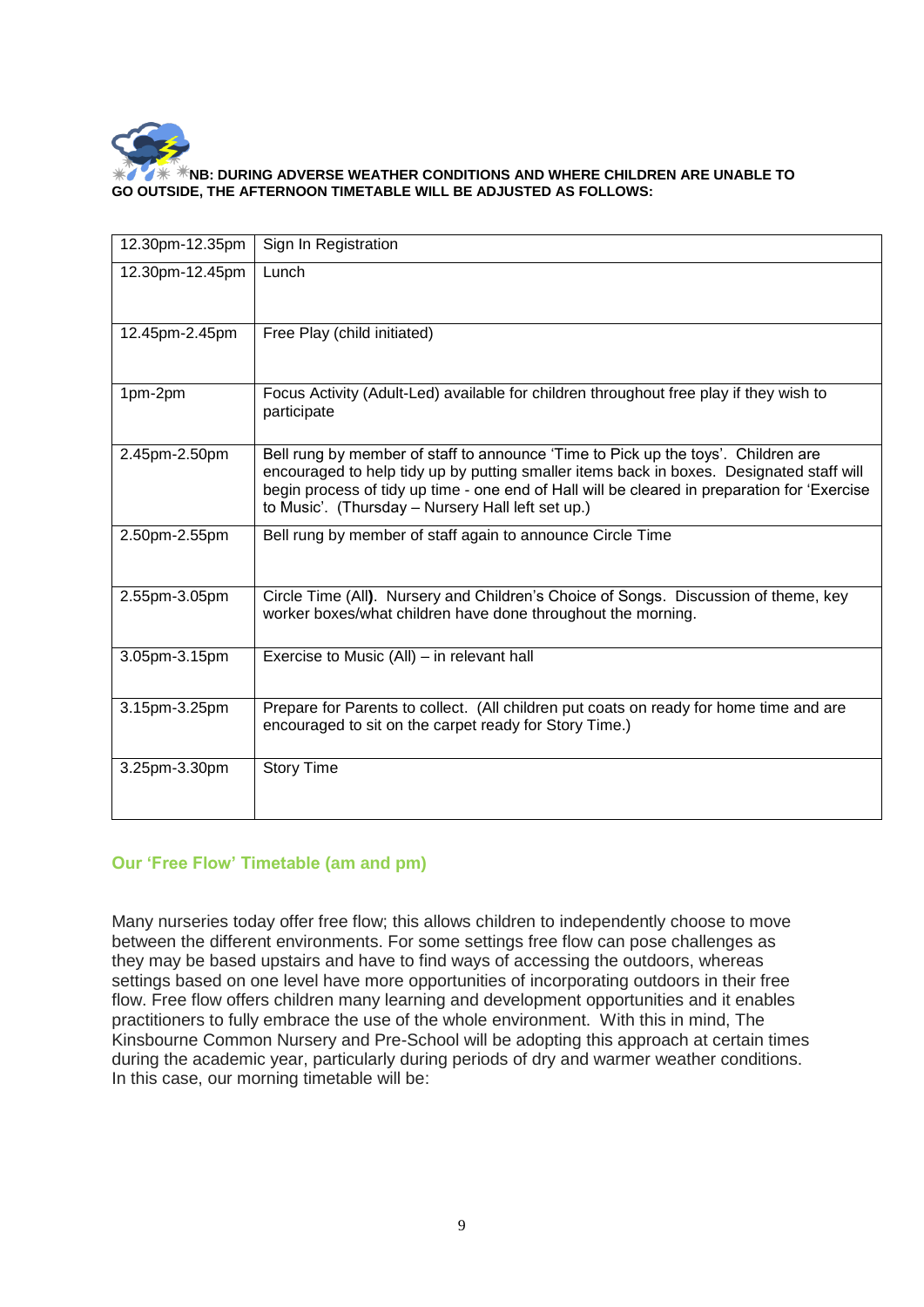

#### **NB: DURING ADVERSE WEATHER CONDITIONS AND WHERE CHILDREN ARE UNABLE TO GO OUTSIDE, THE AFTERNOON TIMETABLE WILL BE ADJUSTED AS FOLLOWS:**

| 12.30pm-12.35pm | Sign In Registration                                                                                                                                                                                                                                                                                                               |
|-----------------|------------------------------------------------------------------------------------------------------------------------------------------------------------------------------------------------------------------------------------------------------------------------------------------------------------------------------------|
| 12.30pm-12.45pm | Lunch                                                                                                                                                                                                                                                                                                                              |
| 12.45pm-2.45pm  | Free Play (child initiated)                                                                                                                                                                                                                                                                                                        |
| 1pm-2pm         | Focus Activity (Adult-Led) available for children throughout free play if they wish to<br>participate                                                                                                                                                                                                                              |
| 2.45pm-2.50pm   | Bell rung by member of staff to announce 'Time to Pick up the toys'. Children are<br>encouraged to help tidy up by putting smaller items back in boxes. Designated staff will<br>begin process of tidy up time - one end of Hall will be cleared in preparation for 'Exercise<br>to Music'. (Thursday - Nursery Hall left set up.) |
| 2.50pm-2.55pm   | Bell rung by member of staff again to announce Circle Time                                                                                                                                                                                                                                                                         |
| 2.55pm-3.05pm   | Circle Time (All). Nursery and Children's Choice of Songs. Discussion of theme, key<br>worker boxes/what children have done throughout the morning.                                                                                                                                                                                |
| 3.05pm-3.15pm   | Exercise to Music (All) – in relevant hall                                                                                                                                                                                                                                                                                         |
| 3.15pm-3.25pm   | Prepare for Parents to collect. (All children put coats on ready for home time and are<br>encouraged to sit on the carpet ready for Story Time.)                                                                                                                                                                                   |
| 3.25pm-3.30pm   | <b>Story Time</b>                                                                                                                                                                                                                                                                                                                  |

# **Our 'Free Flow' Timetable (am and pm)**

Many nurseries today offer free flow; this allows children to independently choose to move between the different environments. For some settings free flow can pose challenges as they may be based upstairs and have to find ways of accessing the outdoors, whereas settings based on one level have more opportunities of incorporating outdoors in their free flow. Free flow offers children many learning and development opportunities and it enables practitioners to fully embrace the use of the whole environment. With this in mind, The Kinsbourne Common Nursery and Pre-School will be adopting this approach at certain times during the academic year, particularly during periods of dry and warmer weather conditions. In this case, our morning timetable will be: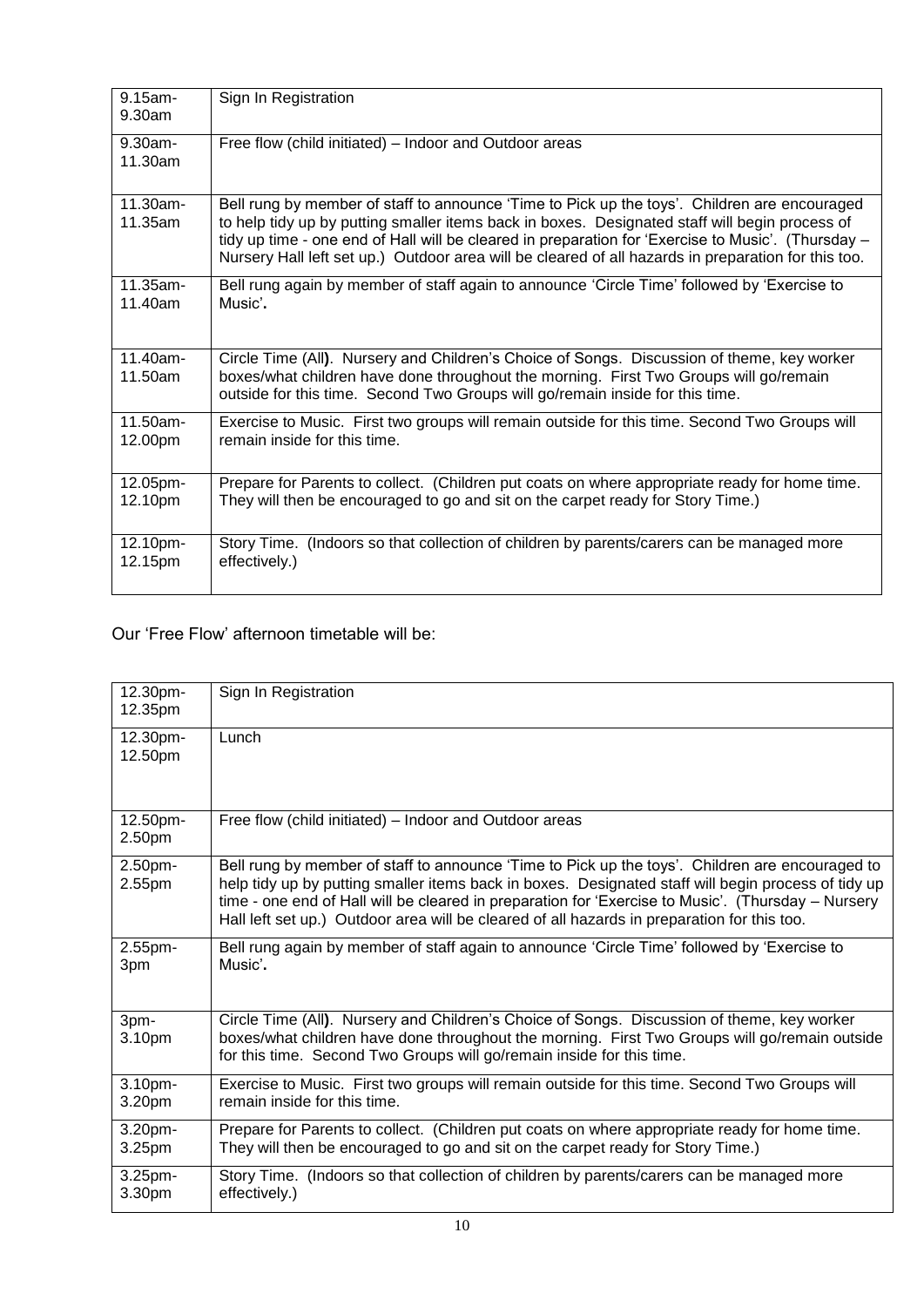| $9.15$ am-<br>9.30am  | Sign In Registration                                                                                                                                                                                                                                                                                                                                                                                        |
|-----------------------|-------------------------------------------------------------------------------------------------------------------------------------------------------------------------------------------------------------------------------------------------------------------------------------------------------------------------------------------------------------------------------------------------------------|
| $9.30$ am-<br>11.30am | Free flow (child initiated) – Indoor and Outdoor areas                                                                                                                                                                                                                                                                                                                                                      |
| 11.30am-<br>11.35am   | Bell rung by member of staff to announce 'Time to Pick up the toys'. Children are encouraged<br>to help tidy up by putting smaller items back in boxes. Designated staff will begin process of<br>tidy up time - one end of Hall will be cleared in preparation for 'Exercise to Music'. (Thursday –<br>Nursery Hall left set up.) Outdoor area will be cleared of all hazards in preparation for this too. |
| 11.35am-              | Bell rung again by member of staff again to announce 'Circle Time' followed by 'Exercise to                                                                                                                                                                                                                                                                                                                 |
| 11.40am               | Music'.                                                                                                                                                                                                                                                                                                                                                                                                     |
| 11.40am-<br>11.50am   | Circle Time (All). Nursery and Children's Choice of Songs. Discussion of theme, key worker<br>boxes/what children have done throughout the morning. First Two Groups will go/remain<br>outside for this time. Second Two Groups will go/remain inside for this time.                                                                                                                                        |
| $11.50$ am-           | Exercise to Music. First two groups will remain outside for this time. Second Two Groups will                                                                                                                                                                                                                                                                                                               |
| 12.00pm               | remain inside for this time.                                                                                                                                                                                                                                                                                                                                                                                |
| 12.05pm-              | Prepare for Parents to collect. (Children put coats on where appropriate ready for home time.                                                                                                                                                                                                                                                                                                               |
| 12.10pm               | They will then be encouraged to go and sit on the carpet ready for Story Time.)                                                                                                                                                                                                                                                                                                                             |
| 12.10pm-              | Story Time. (Indoors so that collection of children by parents/carers can be managed more                                                                                                                                                                                                                                                                                                                   |
| 12.15pm               | effectively.)                                                                                                                                                                                                                                                                                                                                                                                               |

Our 'Free Flow' afternoon timetable will be:

| 12.30pm-<br>12.35pm | Sign In Registration                                                                                                                                                                                                                                                                                                                                                                                        |
|---------------------|-------------------------------------------------------------------------------------------------------------------------------------------------------------------------------------------------------------------------------------------------------------------------------------------------------------------------------------------------------------------------------------------------------------|
| 12.30pm-<br>12.50pm | Lunch                                                                                                                                                                                                                                                                                                                                                                                                       |
| 12.50pm-<br>2.50pm  | Free flow (child initiated) – Indoor and Outdoor areas                                                                                                                                                                                                                                                                                                                                                      |
| 2.50pm-<br>2.55pm   | Bell rung by member of staff to announce 'Time to Pick up the toys'. Children are encouraged to<br>help tidy up by putting smaller items back in boxes. Designated staff will begin process of tidy up<br>time - one end of Hall will be cleared in preparation for 'Exercise to Music'. (Thursday - Nursery<br>Hall left set up.) Outdoor area will be cleared of all hazards in preparation for this too. |
| 2.55pm-<br>3pm      | Bell rung again by member of staff again to announce 'Circle Time' followed by 'Exercise to<br>Music'.                                                                                                                                                                                                                                                                                                      |
| 3pm-<br>3.10pm      | Circle Time (All). Nursery and Children's Choice of Songs. Discussion of theme, key worker<br>boxes/what children have done throughout the morning. First Two Groups will go/remain outside<br>for this time. Second Two Groups will go/remain inside for this time.                                                                                                                                        |
| 3.10pm-<br>3.20pm   | Exercise to Music. First two groups will remain outside for this time. Second Two Groups will<br>remain inside for this time.                                                                                                                                                                                                                                                                               |
| 3.20pm-<br>3.25pm   | Prepare for Parents to collect. (Children put coats on where appropriate ready for home time.<br>They will then be encouraged to go and sit on the carpet ready for Story Time.)                                                                                                                                                                                                                            |
| 3.25pm-<br>3.30pm   | Story Time. (Indoors so that collection of children by parents/carers can be managed more<br>effectively.)                                                                                                                                                                                                                                                                                                  |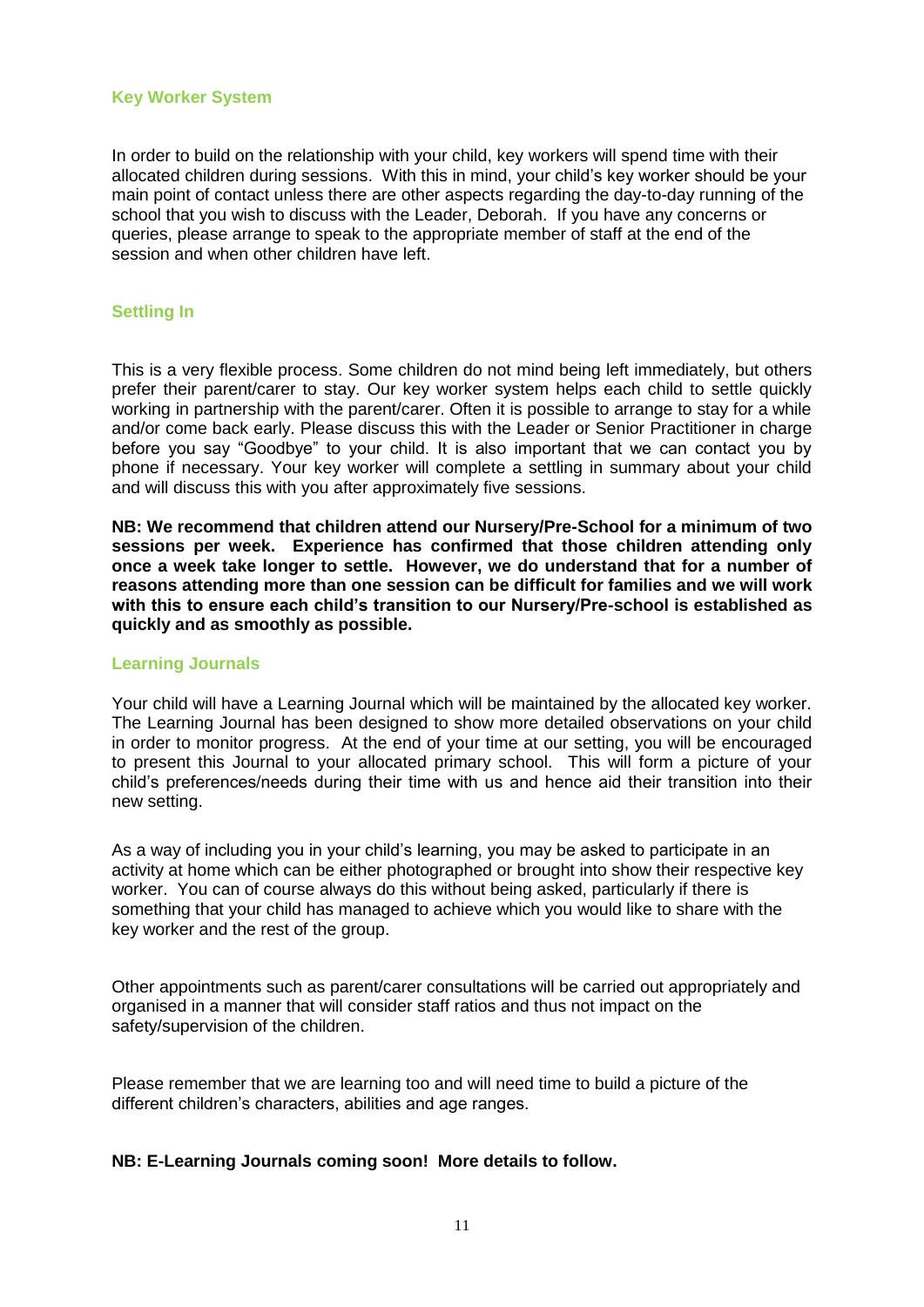#### **Key Worker System**

In order to build on the relationship with your child, key workers will spend time with their allocated children during sessions. With this in mind, your child's key worker should be your main point of contact unless there are other aspects regarding the day-to-day running of the school that you wish to discuss with the Leader, Deborah. If you have any concerns or queries, please arrange to speak to the appropriate member of staff at the end of the session and when other children have left.

# **Settling In**

This is a very flexible process. Some children do not mind being left immediately, but others prefer their parent/carer to stay. Our key worker system helps each child to settle quickly working in partnership with the parent/carer. Often it is possible to arrange to stay for a while and/or come back early. Please discuss this with the Leader or Senior Practitioner in charge before you say "Goodbye" to your child. It is also important that we can contact you by phone if necessary. Your key worker will complete a settling in summary about your child and will discuss this with you after approximately five sessions.

**NB: We recommend that children attend our Nursery/Pre-School for a minimum of two sessions per week. Experience has confirmed that those children attending only once a week take longer to settle. However, we do understand that for a number of reasons attending more than one session can be difficult for families and we will work with this to ensure each child's transition to our Nursery/Pre-school is established as quickly and as smoothly as possible.**

#### **Learning Journals**

Your child will have a Learning Journal which will be maintained by the allocated key worker. The Learning Journal has been designed to show more detailed observations on your child in order to monitor progress. At the end of your time at our setting, you will be encouraged to present this Journal to your allocated primary school. This will form a picture of your child's preferences/needs during their time with us and hence aid their transition into their new setting.

As a way of including you in your child's learning, you may be asked to participate in an activity at home which can be either photographed or brought into show their respective key worker. You can of course always do this without being asked, particularly if there is something that your child has managed to achieve which you would like to share with the key worker and the rest of the group.

Other appointments such as parent/carer consultations will be carried out appropriately and organised in a manner that will consider staff ratios and thus not impact on the safety/supervision of the children.

Please remember that we are learning too and will need time to build a picture of the different children's characters, abilities and age ranges.

# **NB: E-Learning Journals coming soon! More details to follow.**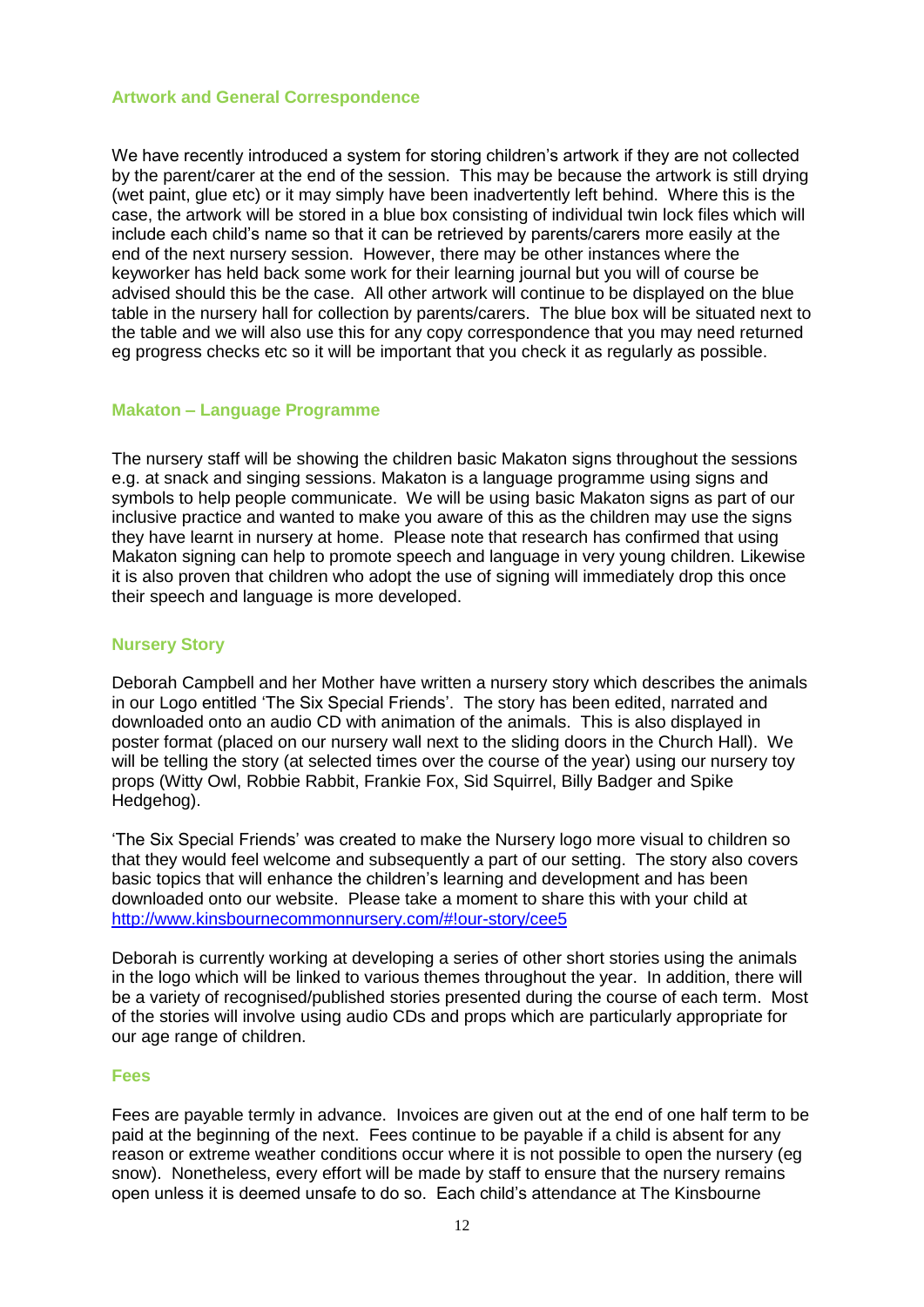#### **Artwork and General Correspondence**

We have recently introduced a system for storing children's artwork if they are not collected by the parent/carer at the end of the session. This may be because the artwork is still drying (wet paint, glue etc) or it may simply have been inadvertently left behind. Where this is the case, the artwork will be stored in a blue box consisting of individual twin lock files which will include each child's name so that it can be retrieved by parents/carers more easily at the end of the next nursery session. However, there may be other instances where the keyworker has held back some work for their learning journal but you will of course be advised should this be the case. All other artwork will continue to be displayed on the blue table in the nursery hall for collection by parents/carers. The blue box will be situated next to the table and we will also use this for any copy correspondence that you may need returned eg progress checks etc so it will be important that you check it as regularly as possible.

# **Makaton – Language Programme**

The nursery staff will be showing the children basic Makaton signs throughout the sessions e.g. at snack and singing sessions. Makaton is a language programme using signs and symbols to help people communicate. We will be using basic Makaton signs as part of our inclusive practice and wanted to make you aware of this as the children may use the signs they have learnt in nursery at home. Please note that research has confirmed that using Makaton signing can help to promote speech and language in very young children. Likewise it is also proven that children who adopt the use of signing will immediately drop this once their speech and language is more developed.

#### **Nursery Story**

Deborah Campbell and her Mother have written a nursery story which describes the animals in our Logo entitled 'The Six Special Friends'. The story has been edited, narrated and downloaded onto an audio CD with animation of the animals. This is also displayed in poster format (placed on our nursery wall next to the sliding doors in the Church Hall). We will be telling the story (at selected times over the course of the year) using our nursery toy props (Witty Owl, Robbie Rabbit, Frankie Fox, Sid Squirrel, Billy Badger and Spike Hedgehog).

'The Six Special Friends' was created to make the Nursery logo more visual to children so that they would feel welcome and subsequently a part of our setting. The story also covers basic topics that will enhance the children's learning and development and has been downloaded onto our website. Please take a moment to share this with your child at <http://www.kinsbournecommonnursery.com/#!our-story/cee5>

Deborah is currently working at developing a series of other short stories using the animals in the logo which will be linked to various themes throughout the year. In addition, there will be a variety of recognised/published stories presented during the course of each term. Most of the stories will involve using audio CDs and props which are particularly appropriate for our age range of children.

#### **Fees**

Fees are payable termly in advance. Invoices are given out at the end of one half term to be paid at the beginning of the next. Fees continue to be payable if a child is absent for any reason or extreme weather conditions occur where it is not possible to open the nursery (eg snow). Nonetheless, every effort will be made by staff to ensure that the nursery remains open unless it is deemed unsafe to do so. Each child's attendance at The Kinsbourne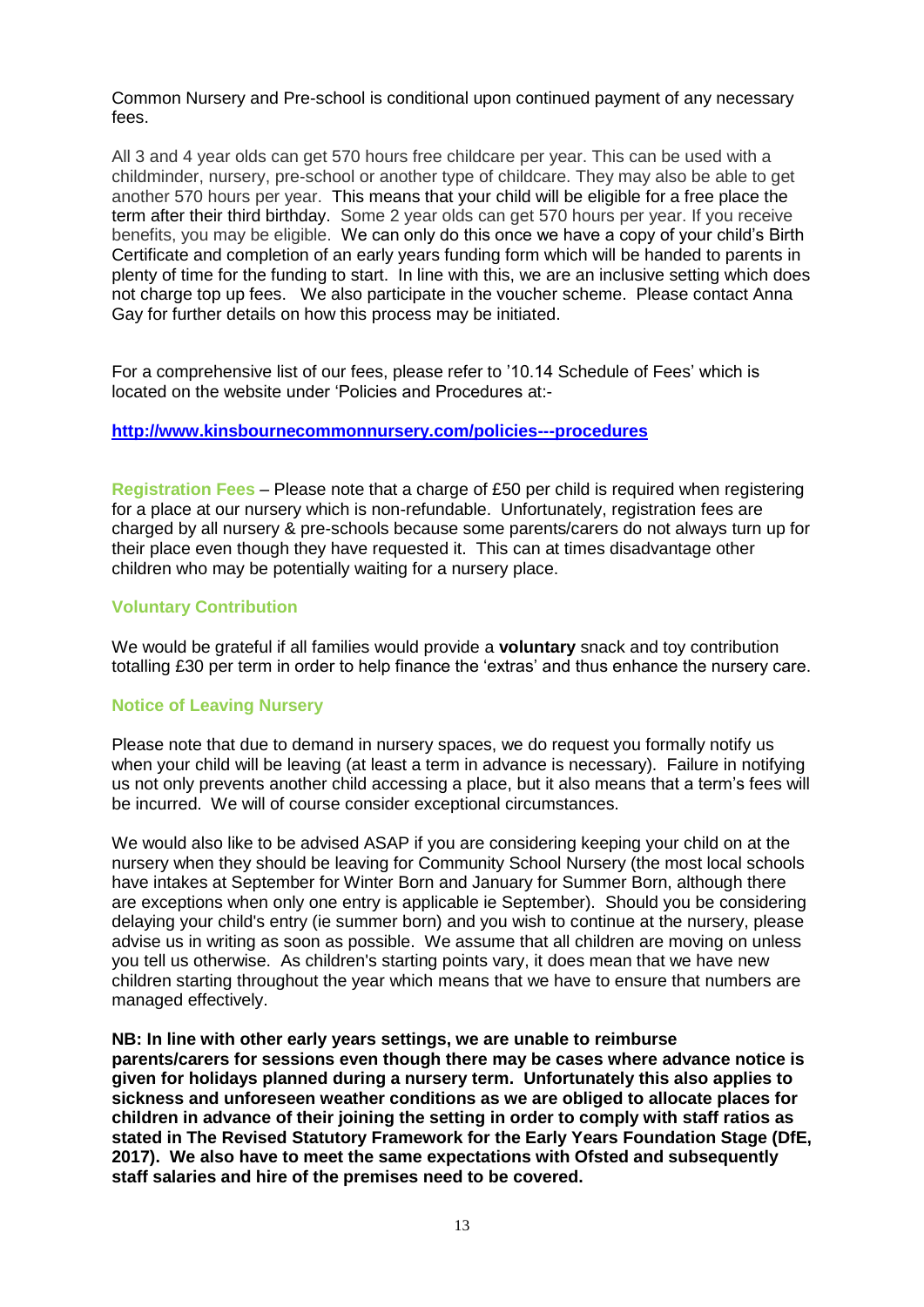Common Nursery and Pre-school is conditional upon continued payment of any necessary fees.

All 3 and 4 year olds can get 570 hours free childcare per year. This can be used with a childminder, nursery, pre-school or another type of childcare. They may also be able to get another 570 hours per year. This means that your child will be eligible for a free place the term after their third birthday. Some 2 year olds can get 570 hours per year. If you receive benefits, you may be eligible. We can only do this once we have a copy of your child's Birth Certificate and completion of an early years funding form which will be handed to parents in plenty of time for the funding to start. In line with this, we are an inclusive setting which does not charge top up fees. We also participate in the voucher scheme. Please contact Anna Gay for further details on how this process may be initiated.

For a comprehensive list of our fees, please refer to '10.14 Schedule of Fees' which is located on the website under 'Policies and Procedures at:-

#### **<http://www.kinsbournecommonnursery.com/policies---procedures>**

**Registration Fees** – Please note that a charge of £50 per child is required when registering for a place at our nursery which is non-refundable. Unfortunately, registration fees are charged by all nursery & pre-schools because some parents/carers do not always turn up for their place even though they have requested it. This can at times disadvantage other children who may be potentially waiting for a nursery place.

# **Voluntary Contribution**

We would be grateful if all families would provide a **voluntary** snack and toy contribution totalling £30 per term in order to help finance the 'extras' and thus enhance the nursery care.

#### **Notice of Leaving Nursery**

Please note that due to demand in nursery spaces, we do request you formally notify us when your child will be leaving (at least a term in advance is necessary). Failure in notifying us not only prevents another child accessing a place, but it also means that a term's fees will be incurred. We will of course consider exceptional circumstances.

We would also like to be advised ASAP if you are considering keeping your child on at the nursery when they should be leaving for Community School Nursery (the most local schools have intakes at September for Winter Born and January for Summer Born, although there are exceptions when only one entry is applicable ie September). Should you be considering delaying your child's entry (ie summer born) and you wish to continue at the nursery, please advise us in writing as soon as possible. We assume that all children are moving on unless you tell us otherwise. As children's starting points vary, it does mean that we have new children starting throughout the year which means that we have to ensure that numbers are managed effectively.

**NB: In line with other early years settings, we are unable to reimburse parents/carers for sessions even though there may be cases where advance notice is given for holidays planned during a nursery term. Unfortunately this also applies to sickness and unforeseen weather conditions as we are obliged to allocate places for children in advance of their joining the setting in order to comply with staff ratios as stated in The Revised Statutory Framework for the Early Years Foundation Stage (DfE, 2017). We also have to meet the same expectations with Ofsted and subsequently staff salaries and hire of the premises need to be covered.**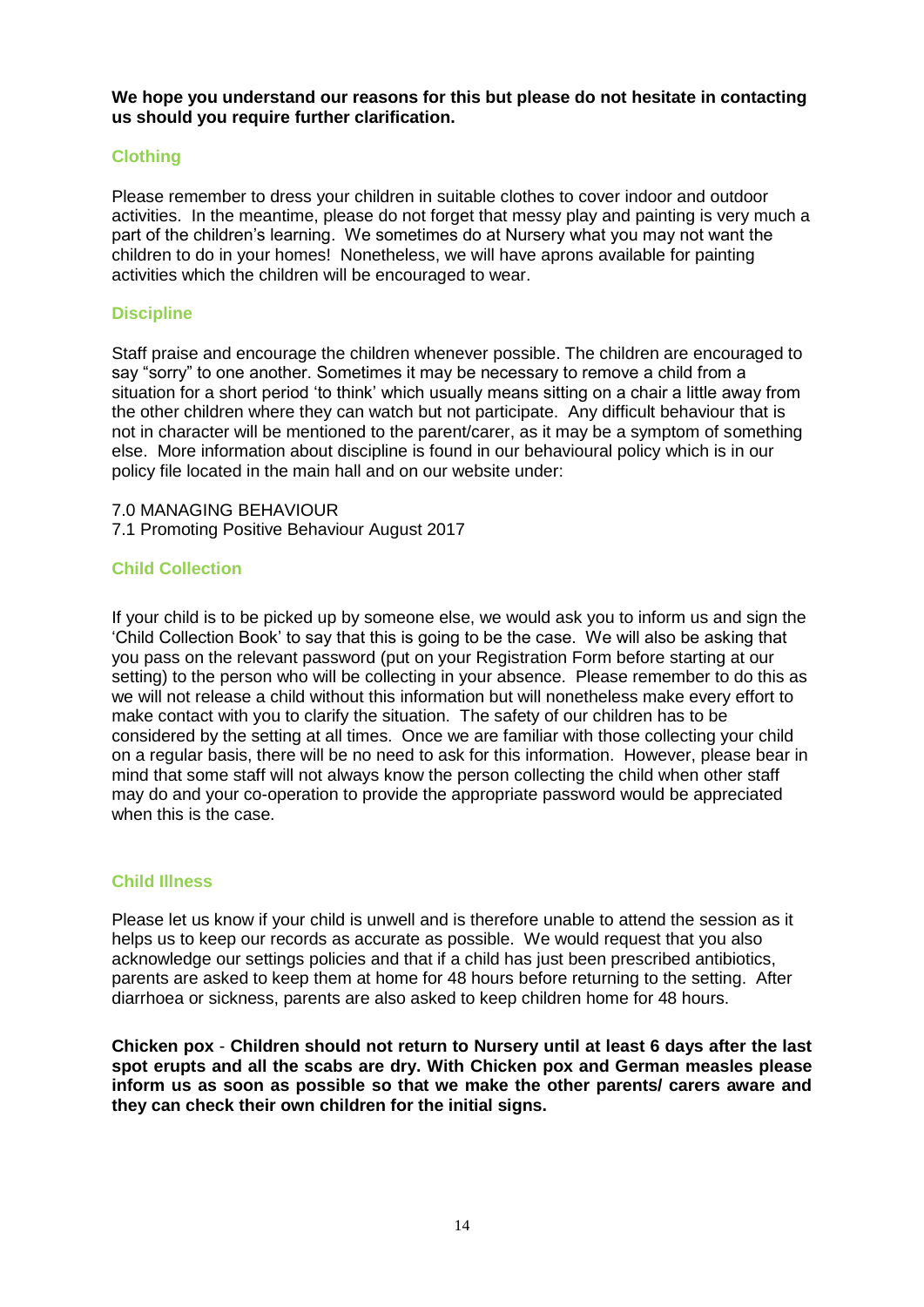**We hope you understand our reasons for this but please do not hesitate in contacting us should you require further clarification.**

# **Clothing**

Please remember to dress your children in suitable clothes to cover indoor and outdoor activities. In the meantime, please do not forget that messy play and painting is very much a part of the children's learning. We sometimes do at Nursery what you may not want the children to do in your homes! Nonetheless, we will have aprons available for painting activities which the children will be encouraged to wear.

# **Discipline**

Staff praise and encourage the children whenever possible. The children are encouraged to say "sorry" to one another. Sometimes it may be necessary to remove a child from a situation for a short period 'to think' which usually means sitting on a chair a little away from the other children where they can watch but not participate. Any difficult behaviour that is not in character will be mentioned to the parent/carer, as it may be a symptom of something else. More information about discipline is found in our behavioural policy which is in our policy file located in the main hall and on our website under:

7.0 MANAGING BEHAVIOUR

7.1 Promoting Positive Behaviour August 2017

# **Child Collection**

If your child is to be picked up by someone else, we would ask you to inform us and sign the 'Child Collection Book' to say that this is going to be the case. We will also be asking that you pass on the relevant password (put on your Registration Form before starting at our setting) to the person who will be collecting in your absence. Please remember to do this as we will not release a child without this information but will nonetheless make every effort to make contact with you to clarify the situation. The safety of our children has to be considered by the setting at all times. Once we are familiar with those collecting your child on a regular basis, there will be no need to ask for this information. However, please bear in mind that some staff will not always know the person collecting the child when other staff may do and your co-operation to provide the appropriate password would be appreciated when this is the case.

# **Child Illness**

Please let us know if your child is unwell and is therefore unable to attend the session as it helps us to keep our records as accurate as possible. We would request that you also acknowledge our settings policies and that if a child has just been prescribed antibiotics, parents are asked to keep them at home for 48 hours before returning to the setting. After diarrhoea or sickness, parents are also asked to keep children home for 48 hours.

**Chicken pox** - **Children should not return to Nursery until at least 6 days after the last spot erupts and all the scabs are dry. With Chicken pox and German measles please inform us as soon as possible so that we make the other parents/ carers aware and they can check their own children for the initial signs.**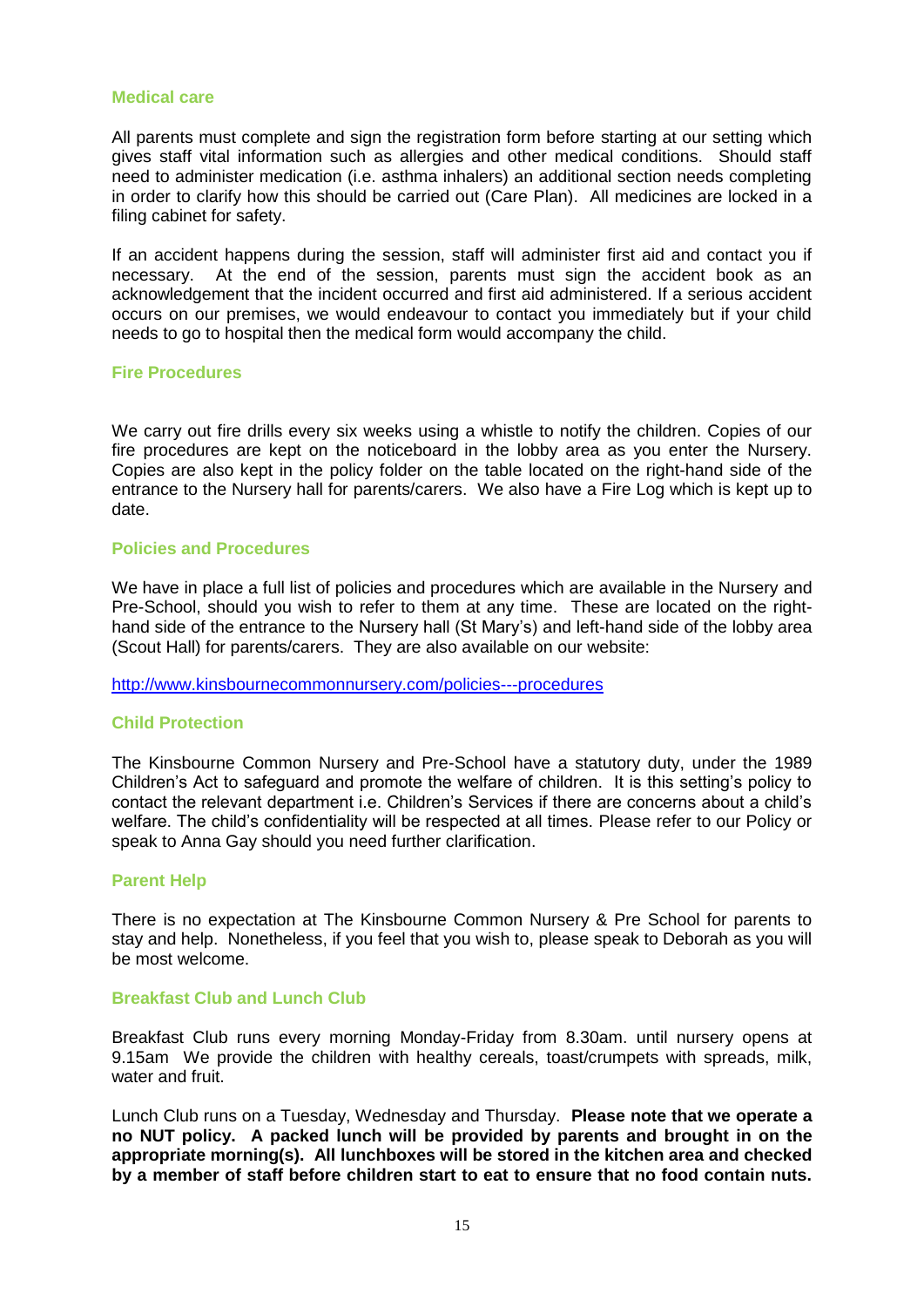#### **Medical care**

All parents must complete and sign the registration form before starting at our setting which gives staff vital information such as allergies and other medical conditions. Should staff need to administer medication (i.e. asthma inhalers) an additional section needs completing in order to clarify how this should be carried out (Care Plan). All medicines are locked in a filing cabinet for safety.

If an accident happens during the session, staff will administer first aid and contact you if necessary. At the end of the session, parents must sign the accident book as an acknowledgement that the incident occurred and first aid administered. If a serious accident occurs on our premises, we would endeavour to contact you immediately but if your child needs to go to hospital then the medical form would accompany the child.

#### **Fire Procedures**

We carry out fire drills every six weeks using a whistle to notify the children. Copies of our fire procedures are kept on the noticeboard in the lobby area as you enter the Nursery. Copies are also kept in the policy folder on the table located on the right-hand side of the entrance to the Nursery hall for parents/carers. We also have a Fire Log which is kept up to date.

#### **Policies and Procedures**

We have in place a full list of policies and procedures which are available in the Nursery and Pre-School, should you wish to refer to them at any time. These are located on the righthand side of the entrance to the Nursery hall (St Mary's) and left-hand side of the lobby area (Scout Hall) for parents/carers. They are also available on our website:

<http://www.kinsbournecommonnursery.com/policies---procedures>

#### **Child Protection**

The Kinsbourne Common Nursery and Pre-School have a statutory duty, under the 1989 Children's Act to safeguard and promote the welfare of children. It is this setting's policy to contact the relevant department i.e. Children's Services if there are concerns about a child's welfare. The child's confidentiality will be respected at all times. Please refer to our Policy or speak to Anna Gay should you need further clarification.

#### **Parent Help**

There is no expectation at The Kinsbourne Common Nursery & Pre School for parents to stay and help. Nonetheless, if you feel that you wish to, please speak to Deborah as you will be most welcome.

#### **Breakfast Club and Lunch Club**

Breakfast Club runs every morning Monday-Friday from 8.30am. until nursery opens at 9.15am We provide the children with healthy cereals, toast/crumpets with spreads, milk, water and fruit.

Lunch Club runs on a Tuesday, Wednesday and Thursday. **Please note that we operate a no NUT policy. A packed lunch will be provided by parents and brought in on the appropriate morning(s). All lunchboxes will be stored in the kitchen area and checked by a member of staff before children start to eat to ensure that no food contain nuts.**